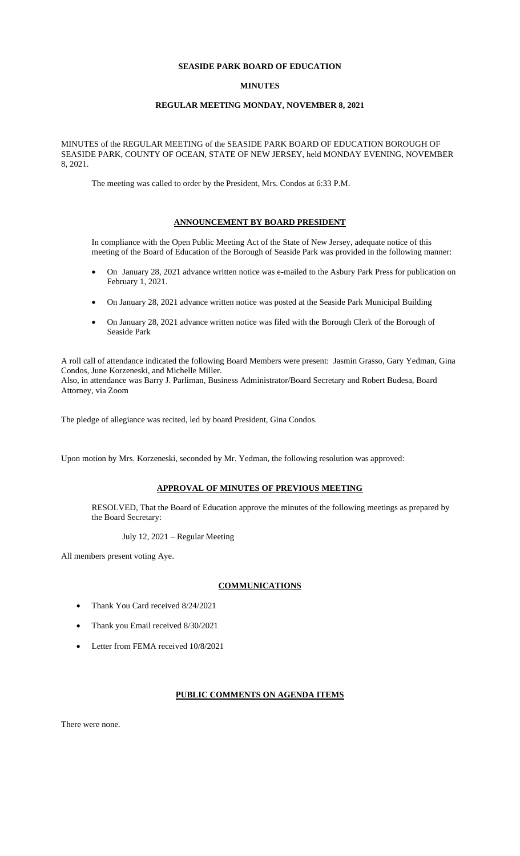## **SEASIDE PARK BOARD OF EDUCATION**

### **MINUTES**

#### **REGULAR MEETING MONDAY, NOVEMBER 8, 2021**

MINUTES of the REGULAR MEETING of the SEASIDE PARK BOARD OF EDUCATION BOROUGH OF SEASIDE PARK, COUNTY OF OCEAN, STATE OF NEW JERSEY, held MONDAY EVENING, NOVEMBER 8, 2021.

The meeting was called to order by the President, Mrs. Condos at 6:33 P.M.

#### **ANNOUNCEMENT BY BOARD PRESIDENT**

In compliance with the Open Public Meeting Act of the State of New Jersey, adequate notice of this meeting of the Board of Education of the Borough of Seaside Park was provided in the following manner:

- On January 28, 2021 advance written notice was e-mailed to the Asbury Park Press for publication on February 1, 2021.
- On January 28, 2021 advance written notice was posted at the Seaside Park Municipal Building
- On January 28, 2021 advance written notice was filed with the Borough Clerk of the Borough of Seaside Park

A roll call of attendance indicated the following Board Members were present: Jasmin Grasso, Gary Yedman, Gina Condos, June Korzeneski, and Michelle Miller. Also, in attendance was Barry J. Parliman, Business Administrator/Board Secretary and Robert Budesa, Board Attorney, via Zoom

The pledge of allegiance was recited, led by board President, Gina Condos.

Upon motion by Mrs. Korzeneski, seconded by Mr. Yedman, the following resolution was approved:

## **APPROVAL OF MINUTES OF PREVIOUS MEETING**

RESOLVED, That the Board of Education approve the minutes of the following meetings as prepared by the Board Secretary:

July 12, 2021 – Regular Meeting

All members present voting Aye.

# **COMMUNICATIONS**

- Thank You Card received 8/24/2021
- Thank you Email received 8/30/2021
- Letter from FEMA received  $10/8/2021$

#### **PUBLIC COMMENTS ON AGENDA ITEMS**

There were none.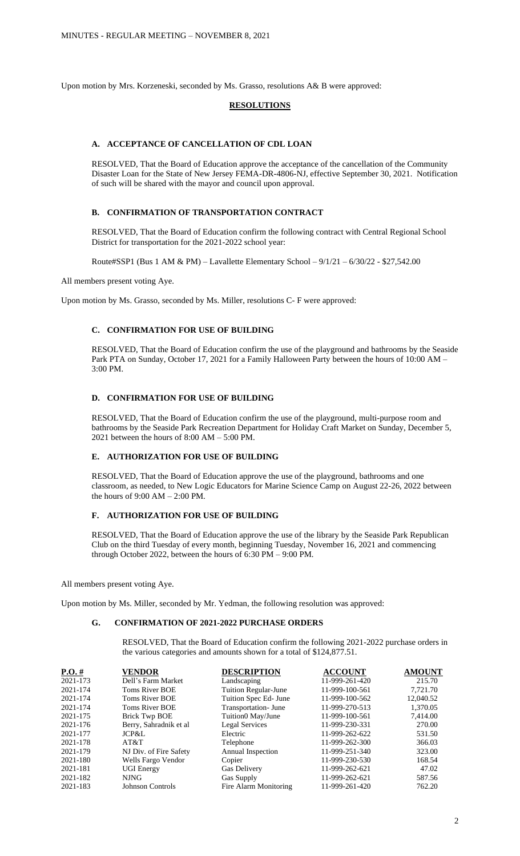Upon motion by Mrs. Korzeneski, seconded by Ms. Grasso, resolutions A& B were approved:

#### **RESOLUTIONS**

# **A. ACCEPTANCE OF CANCELLATION OF CDL LOAN**

RESOLVED, That the Board of Education approve the acceptance of the cancellation of the Community Disaster Loan for the State of New Jersey FEMA-DR-4806-NJ, effective September 30, 2021. Notification of such will be shared with the mayor and council upon approval.

## **B. CONFIRMATION OF TRANSPORTATION CONTRACT**

RESOLVED, That the Board of Education confirm the following contract with Central Regional School District for transportation for the 2021-2022 school year:

Route#SSP1 (Bus 1 AM & PM) – Lavallette Elementary School –  $9/1/21 - 6/30/22 - $27,542.00$ 

All members present voting Aye.

Upon motion by Ms. Grasso, seconded by Ms. Miller, resolutions C- F were approved:

# **C. CONFIRMATION FOR USE OF BUILDING**

RESOLVED, That the Board of Education confirm the use of the playground and bathrooms by the Seaside Park PTA on Sunday, October 17, 2021 for a Family Halloween Party between the hours of 10:00 AM – 3:00 PM.

# **D. CONFIRMATION FOR USE OF BUILDING**

RESOLVED, That the Board of Education confirm the use of the playground, multi-purpose room and bathrooms by the Seaside Park Recreation Department for Holiday Craft Market on Sunday, December 5, 2021 between the hours of  $8:00$  AM –  $5:00$  PM.

### **E. AUTHORIZATION FOR USE OF BUILDING**

RESOLVED, That the Board of Education approve the use of the playground, bathrooms and one classroom, as needed, to New Logic Educators for Marine Science Camp on August 22-26, 2022 between the hours of 9:00 AM – 2:00 PM.

# **F. AUTHORIZATION FOR USE OF BUILDING**

RESOLVED, That the Board of Education approve the use of the library by the Seaside Park Republican Club on the third Tuesday of every month, beginning Tuesday, November 16, 2021 and commencing through October 2022, between the hours of 6:30 PM – 9:00 PM.

All members present voting Aye.

Upon motion by Ms. Miller, seconded by Mr. Yedman, the following resolution was approved:

#### **G. CONFIRMATION OF 2021-2022 PURCHASE ORDERS**

RESOLVED, That the Board of Education confirm the following 2021-2022 purchase orders in the various categories and amounts shown for a total of \$124,877.51.

| $P.O. \#$ | <b>VENDOR</b>          | <b>DESCRIPTION</b>    | <b>ACCOUNT</b> | <b>AMOUNT</b> |
|-----------|------------------------|-----------------------|----------------|---------------|
| 2021-173  | Dell's Farm Market     | Landscaping           | 11-999-261-420 | 215.70        |
| 2021-174  | Toms River BOE         | Tuition Regular-June  | 11-999-100-561 | 7,721.70      |
| 2021-174  | Toms River BOE         | Tuition Spec Ed- June | 11-999-100-562 | 12,040.52     |
| 2021-174  | Toms River BOE         | Transportation- June  | 11-999-270-513 | 1,370.05      |
| 2021-175  | <b>Brick Twp BOE</b>   | Tuition0 May/June     | 11-999-100-561 | 7,414.00      |
| 2021-176  | Berry, Sahradnik et al | <b>Legal Services</b> | 11-999-230-331 | 270.00        |
| 2021-177  | JCP&L                  | Electric              | 11-999-262-622 | 531.50        |
| 2021-178  | AT&T                   | Telephone             | 11-999-262-300 | 366.03        |
| 2021-179  | NJ Div. of Fire Safety | Annual Inspection     | 11-999-251-340 | 323.00        |
| 2021-180  | Wells Fargo Vendor     | Copier                | 11-999-230-530 | 168.54        |
| 2021-181  | <b>UGI Energy</b>      | Gas Delivery          | 11-999-262-621 | 47.02         |
| 2021-182  | <b>NJNG</b>            | Gas Supply            | 11-999-262-621 | 587.56        |
| 2021-183  | Johnson Controls       | Fire Alarm Monitoring | 11-999-261-420 | 762.20        |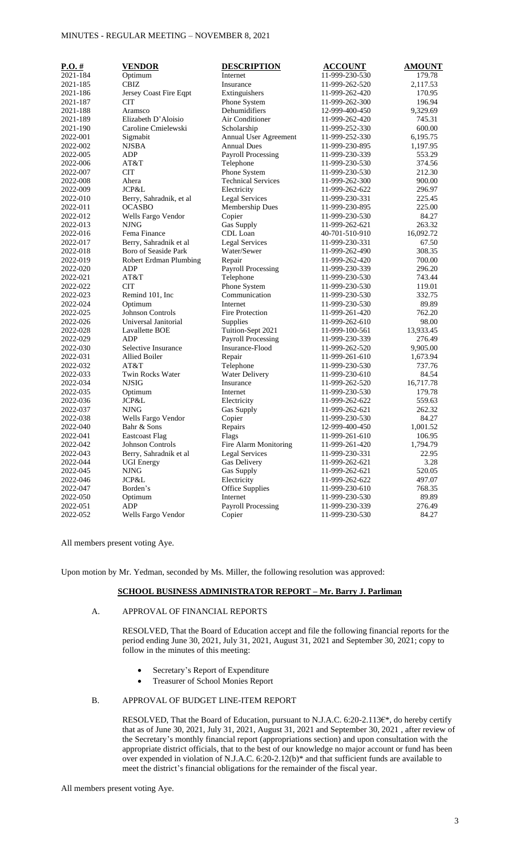# MINUTES - REGULAR MEETING – NOVEMBER 8, 2021

| 2021-184<br>Optimum<br>Internet<br>11-999-230-530<br>179.78<br><b>CBIZ</b><br>2021-185<br>Insurance<br>11-999-262-520<br>2,117.53<br>170.95<br>2021-186<br>Jersey Coast Fire Eqpt<br>Extinguishers<br>11-999-262-420<br><b>CIT</b><br>Phone System<br>196.94<br>2021-187<br>11-999-262-300<br>Dehumidifiers<br>9,329.69<br>2021-188<br>Aramsco<br>12-999-400-450<br>Elizabeth D'Aloisio<br>Air Conditioner<br>745.31<br>2021-189<br>11-999-262-420<br>Caroline Cmielewski<br>600.00<br>2021-190<br>Scholarship<br>11-999-252-330<br>2022-001<br>Sigmabit<br>Annual User Agreement<br>11-999-252-330<br>6,195.75<br><b>Annual Dues</b><br>2022-002<br><b>NJSBA</b><br>11-999-230-895<br>1,197.95<br><b>ADP</b><br>553.29<br>2022-005<br><b>Payroll Processing</b><br>11-999-230-339<br>AT&T<br>2022-006<br>Telephone<br>11-999-230-530<br>374.56<br><b>CIT</b><br>Phone System<br>2022-007<br>11-999-230-530<br>212.30<br><b>Technical Services</b><br>2022-008<br>Ahera<br>11-999-262-300<br>900.00<br>JCP&L<br>296.97<br>2022-009<br>Electricity<br>11-999-262-622<br>2022-010<br>Berry, Sahradnik, et al<br><b>Legal Services</b><br>11-999-230-331<br>225.45<br><b>OCASBO</b><br>Membership Dues<br>225.00<br>2022-011<br>11-999-230-895<br>2022-012<br>Copier<br>84.27<br>Wells Fargo Vendor<br>11-999-230-530<br><b>NJNG</b><br>Gas Supply<br>263.32<br>2022-013<br>11-999-262-621<br>Fema Finance<br>2022-016<br>CDL Loan<br>40-701-510-910<br>16,092.72<br>Berry, Sahradnik et al<br><b>Legal Services</b><br>2022-017<br>11-999-230-331<br>67.50<br>Boro of Seaside Park<br>Water/Sewer<br>308.35<br>2022-018<br>11-999-262-490<br>700.00<br>2022-019<br>Robert Erdman Plumbing<br>Repair<br>11-999-262-420<br><b>Payroll Processing</b><br>2022-020<br>ADP<br>11-999-230-339<br>296.20<br>2022-021<br>AT&T<br>Telephone<br>743.44<br>11-999-230-530<br><b>CIT</b><br>Phone System<br>119.01<br>2022-022<br>11-999-230-530<br>Remind 101, Inc<br>Communication<br>332.75<br>2022-023<br>11-999-230-530<br>89.89<br>2022-024<br>Optimum<br>Internet<br>11-999-230-530<br><b>Johnson Controls</b><br>2022-025<br><b>Fire Protection</b><br>11-999-261-420<br>762.20<br>Universal Janitorial<br>98.00<br>2022-026<br>Supplies<br>11-999-262-610<br>Tuition-Sept 2021<br>2022-028<br>Lavallette BOE<br>11-999-100-561<br>13,933.45<br>ADP<br><b>Payroll Processing</b><br>2022-029<br>11-999-230-339<br>276.49<br>Insurance-Flood<br>2022-030<br>Selective Insurance<br>11-999-262-520<br>9,905.00<br>2022-031<br>Allied Boiler<br>Repair<br>1,673.94<br>11-999-261-610<br>Telephone<br>737.76<br>2022-032<br>AT&T<br>11-999-230-530<br>Twin Rocks Water<br>2022-033<br><b>Water Delivery</b><br>11-999-230-610<br>84.54<br><b>NJSIG</b><br>2022-034<br>Insurance<br>11-999-262-520<br>16,717.78<br>2022-035<br>Optimum<br>Internet<br>11-999-230-530<br>179.78<br>2022-036<br>JCP&L<br>Electricity<br>11-999-262-622<br>559.63<br>262.32<br>2022-037<br><b>NJNG</b><br>Gas Supply<br>11-999-262-621<br>Wells Fargo Vendor<br>84.27<br>2022-038<br>Copier<br>11-999-230-530<br>Bahr & Sons<br>Repairs<br>2022-040<br>12-999-400-450<br>1,001.52<br>2022-041<br><b>Eastcoast Flag</b><br>Flags<br>11-999-261-610<br>106.95<br>Johnson Controls<br>2022-042<br>Fire Alarm Monitoring<br>1,794.79<br>11-999-261-420<br>Berry, Sahradnik et al<br>22.95<br>2022-043<br><b>Legal Services</b><br>11-999-230-331<br>Gas Delivery<br>3.28<br>2022-044<br><b>UGI Energy</b><br>11-999-262-621<br><b>NJNG</b><br>2022-045<br>Gas Supply<br>11-999-262-621<br>520.05<br>JCP&L<br>Electricity<br>2022-046<br>11-999-262-622<br>497.07<br><b>Office Supplies</b><br>2022-047<br>Borden's<br>11-999-230-610<br>768.35<br>Optimum<br>Internet<br>89.89<br>2022-050<br>11-999-230-530<br><b>ADP</b><br>2022-051<br><b>Payroll Processing</b><br>11-999-230-339<br>276.49<br>2022-052<br>Wells Fargo Vendor<br>Copier<br>84.27<br>11-999-230-530 | $P.O. \#$ | <b>VENDOR</b> | <b>DESCRIPTION</b> | <b>ACCOUNT</b> | <b>AMOUNT</b> |
|--------------------------------------------------------------------------------------------------------------------------------------------------------------------------------------------------------------------------------------------------------------------------------------------------------------------------------------------------------------------------------------------------------------------------------------------------------------------------------------------------------------------------------------------------------------------------------------------------------------------------------------------------------------------------------------------------------------------------------------------------------------------------------------------------------------------------------------------------------------------------------------------------------------------------------------------------------------------------------------------------------------------------------------------------------------------------------------------------------------------------------------------------------------------------------------------------------------------------------------------------------------------------------------------------------------------------------------------------------------------------------------------------------------------------------------------------------------------------------------------------------------------------------------------------------------------------------------------------------------------------------------------------------------------------------------------------------------------------------------------------------------------------------------------------------------------------------------------------------------------------------------------------------------------------------------------------------------------------------------------------------------------------------------------------------------------------------------------------------------------------------------------------------------------------------------------------------------------------------------------------------------------------------------------------------------------------------------------------------------------------------------------------------------------------------------------------------------------------------------------------------------------------------------------------------------------------------------------------------------------------------------------------------------------------------------------------------------------------------------------------------------------------------------------------------------------------------------------------------------------------------------------------------------------------------------------------------------------------------------------------------------------------------------------------------------------------------------------------------------------------------------------------------------------------------------------------------------------------------------------------------------------------------------------------------------------------------------------------------------------------------------------------------------------------------------------------------------------------------------------------------------------------------------------------------------------------------------------------------------------------------------------------------------------------------------------------------------------------------------------------------------------------------------------------------------------------------------------------------------------------------------------------------------------------------------|-----------|---------------|--------------------|----------------|---------------|
|                                                                                                                                                                                                                                                                                                                                                                                                                                                                                                                                                                                                                                                                                                                                                                                                                                                                                                                                                                                                                                                                                                                                                                                                                                                                                                                                                                                                                                                                                                                                                                                                                                                                                                                                                                                                                                                                                                                                                                                                                                                                                                                                                                                                                                                                                                                                                                                                                                                                                                                                                                                                                                                                                                                                                                                                                                                                                                                                                                                                                                                                                                                                                                                                                                                                                                                                                                                                                                                                                                                                                                                                                                                                                                                                                                                                                                                                                                                                      |           |               |                    |                |               |
|                                                                                                                                                                                                                                                                                                                                                                                                                                                                                                                                                                                                                                                                                                                                                                                                                                                                                                                                                                                                                                                                                                                                                                                                                                                                                                                                                                                                                                                                                                                                                                                                                                                                                                                                                                                                                                                                                                                                                                                                                                                                                                                                                                                                                                                                                                                                                                                                                                                                                                                                                                                                                                                                                                                                                                                                                                                                                                                                                                                                                                                                                                                                                                                                                                                                                                                                                                                                                                                                                                                                                                                                                                                                                                                                                                                                                                                                                                                                      |           |               |                    |                |               |
|                                                                                                                                                                                                                                                                                                                                                                                                                                                                                                                                                                                                                                                                                                                                                                                                                                                                                                                                                                                                                                                                                                                                                                                                                                                                                                                                                                                                                                                                                                                                                                                                                                                                                                                                                                                                                                                                                                                                                                                                                                                                                                                                                                                                                                                                                                                                                                                                                                                                                                                                                                                                                                                                                                                                                                                                                                                                                                                                                                                                                                                                                                                                                                                                                                                                                                                                                                                                                                                                                                                                                                                                                                                                                                                                                                                                                                                                                                                                      |           |               |                    |                |               |
|                                                                                                                                                                                                                                                                                                                                                                                                                                                                                                                                                                                                                                                                                                                                                                                                                                                                                                                                                                                                                                                                                                                                                                                                                                                                                                                                                                                                                                                                                                                                                                                                                                                                                                                                                                                                                                                                                                                                                                                                                                                                                                                                                                                                                                                                                                                                                                                                                                                                                                                                                                                                                                                                                                                                                                                                                                                                                                                                                                                                                                                                                                                                                                                                                                                                                                                                                                                                                                                                                                                                                                                                                                                                                                                                                                                                                                                                                                                                      |           |               |                    |                |               |
|                                                                                                                                                                                                                                                                                                                                                                                                                                                                                                                                                                                                                                                                                                                                                                                                                                                                                                                                                                                                                                                                                                                                                                                                                                                                                                                                                                                                                                                                                                                                                                                                                                                                                                                                                                                                                                                                                                                                                                                                                                                                                                                                                                                                                                                                                                                                                                                                                                                                                                                                                                                                                                                                                                                                                                                                                                                                                                                                                                                                                                                                                                                                                                                                                                                                                                                                                                                                                                                                                                                                                                                                                                                                                                                                                                                                                                                                                                                                      |           |               |                    |                |               |
|                                                                                                                                                                                                                                                                                                                                                                                                                                                                                                                                                                                                                                                                                                                                                                                                                                                                                                                                                                                                                                                                                                                                                                                                                                                                                                                                                                                                                                                                                                                                                                                                                                                                                                                                                                                                                                                                                                                                                                                                                                                                                                                                                                                                                                                                                                                                                                                                                                                                                                                                                                                                                                                                                                                                                                                                                                                                                                                                                                                                                                                                                                                                                                                                                                                                                                                                                                                                                                                                                                                                                                                                                                                                                                                                                                                                                                                                                                                                      |           |               |                    |                |               |
|                                                                                                                                                                                                                                                                                                                                                                                                                                                                                                                                                                                                                                                                                                                                                                                                                                                                                                                                                                                                                                                                                                                                                                                                                                                                                                                                                                                                                                                                                                                                                                                                                                                                                                                                                                                                                                                                                                                                                                                                                                                                                                                                                                                                                                                                                                                                                                                                                                                                                                                                                                                                                                                                                                                                                                                                                                                                                                                                                                                                                                                                                                                                                                                                                                                                                                                                                                                                                                                                                                                                                                                                                                                                                                                                                                                                                                                                                                                                      |           |               |                    |                |               |
|                                                                                                                                                                                                                                                                                                                                                                                                                                                                                                                                                                                                                                                                                                                                                                                                                                                                                                                                                                                                                                                                                                                                                                                                                                                                                                                                                                                                                                                                                                                                                                                                                                                                                                                                                                                                                                                                                                                                                                                                                                                                                                                                                                                                                                                                                                                                                                                                                                                                                                                                                                                                                                                                                                                                                                                                                                                                                                                                                                                                                                                                                                                                                                                                                                                                                                                                                                                                                                                                                                                                                                                                                                                                                                                                                                                                                                                                                                                                      |           |               |                    |                |               |
|                                                                                                                                                                                                                                                                                                                                                                                                                                                                                                                                                                                                                                                                                                                                                                                                                                                                                                                                                                                                                                                                                                                                                                                                                                                                                                                                                                                                                                                                                                                                                                                                                                                                                                                                                                                                                                                                                                                                                                                                                                                                                                                                                                                                                                                                                                                                                                                                                                                                                                                                                                                                                                                                                                                                                                                                                                                                                                                                                                                                                                                                                                                                                                                                                                                                                                                                                                                                                                                                                                                                                                                                                                                                                                                                                                                                                                                                                                                                      |           |               |                    |                |               |
|                                                                                                                                                                                                                                                                                                                                                                                                                                                                                                                                                                                                                                                                                                                                                                                                                                                                                                                                                                                                                                                                                                                                                                                                                                                                                                                                                                                                                                                                                                                                                                                                                                                                                                                                                                                                                                                                                                                                                                                                                                                                                                                                                                                                                                                                                                                                                                                                                                                                                                                                                                                                                                                                                                                                                                                                                                                                                                                                                                                                                                                                                                                                                                                                                                                                                                                                                                                                                                                                                                                                                                                                                                                                                                                                                                                                                                                                                                                                      |           |               |                    |                |               |
|                                                                                                                                                                                                                                                                                                                                                                                                                                                                                                                                                                                                                                                                                                                                                                                                                                                                                                                                                                                                                                                                                                                                                                                                                                                                                                                                                                                                                                                                                                                                                                                                                                                                                                                                                                                                                                                                                                                                                                                                                                                                                                                                                                                                                                                                                                                                                                                                                                                                                                                                                                                                                                                                                                                                                                                                                                                                                                                                                                                                                                                                                                                                                                                                                                                                                                                                                                                                                                                                                                                                                                                                                                                                                                                                                                                                                                                                                                                                      |           |               |                    |                |               |
|                                                                                                                                                                                                                                                                                                                                                                                                                                                                                                                                                                                                                                                                                                                                                                                                                                                                                                                                                                                                                                                                                                                                                                                                                                                                                                                                                                                                                                                                                                                                                                                                                                                                                                                                                                                                                                                                                                                                                                                                                                                                                                                                                                                                                                                                                                                                                                                                                                                                                                                                                                                                                                                                                                                                                                                                                                                                                                                                                                                                                                                                                                                                                                                                                                                                                                                                                                                                                                                                                                                                                                                                                                                                                                                                                                                                                                                                                                                                      |           |               |                    |                |               |
|                                                                                                                                                                                                                                                                                                                                                                                                                                                                                                                                                                                                                                                                                                                                                                                                                                                                                                                                                                                                                                                                                                                                                                                                                                                                                                                                                                                                                                                                                                                                                                                                                                                                                                                                                                                                                                                                                                                                                                                                                                                                                                                                                                                                                                                                                                                                                                                                                                                                                                                                                                                                                                                                                                                                                                                                                                                                                                                                                                                                                                                                                                                                                                                                                                                                                                                                                                                                                                                                                                                                                                                                                                                                                                                                                                                                                                                                                                                                      |           |               |                    |                |               |
|                                                                                                                                                                                                                                                                                                                                                                                                                                                                                                                                                                                                                                                                                                                                                                                                                                                                                                                                                                                                                                                                                                                                                                                                                                                                                                                                                                                                                                                                                                                                                                                                                                                                                                                                                                                                                                                                                                                                                                                                                                                                                                                                                                                                                                                                                                                                                                                                                                                                                                                                                                                                                                                                                                                                                                                                                                                                                                                                                                                                                                                                                                                                                                                                                                                                                                                                                                                                                                                                                                                                                                                                                                                                                                                                                                                                                                                                                                                                      |           |               |                    |                |               |
|                                                                                                                                                                                                                                                                                                                                                                                                                                                                                                                                                                                                                                                                                                                                                                                                                                                                                                                                                                                                                                                                                                                                                                                                                                                                                                                                                                                                                                                                                                                                                                                                                                                                                                                                                                                                                                                                                                                                                                                                                                                                                                                                                                                                                                                                                                                                                                                                                                                                                                                                                                                                                                                                                                                                                                                                                                                                                                                                                                                                                                                                                                                                                                                                                                                                                                                                                                                                                                                                                                                                                                                                                                                                                                                                                                                                                                                                                                                                      |           |               |                    |                |               |
|                                                                                                                                                                                                                                                                                                                                                                                                                                                                                                                                                                                                                                                                                                                                                                                                                                                                                                                                                                                                                                                                                                                                                                                                                                                                                                                                                                                                                                                                                                                                                                                                                                                                                                                                                                                                                                                                                                                                                                                                                                                                                                                                                                                                                                                                                                                                                                                                                                                                                                                                                                                                                                                                                                                                                                                                                                                                                                                                                                                                                                                                                                                                                                                                                                                                                                                                                                                                                                                                                                                                                                                                                                                                                                                                                                                                                                                                                                                                      |           |               |                    |                |               |
|                                                                                                                                                                                                                                                                                                                                                                                                                                                                                                                                                                                                                                                                                                                                                                                                                                                                                                                                                                                                                                                                                                                                                                                                                                                                                                                                                                                                                                                                                                                                                                                                                                                                                                                                                                                                                                                                                                                                                                                                                                                                                                                                                                                                                                                                                                                                                                                                                                                                                                                                                                                                                                                                                                                                                                                                                                                                                                                                                                                                                                                                                                                                                                                                                                                                                                                                                                                                                                                                                                                                                                                                                                                                                                                                                                                                                                                                                                                                      |           |               |                    |                |               |
|                                                                                                                                                                                                                                                                                                                                                                                                                                                                                                                                                                                                                                                                                                                                                                                                                                                                                                                                                                                                                                                                                                                                                                                                                                                                                                                                                                                                                                                                                                                                                                                                                                                                                                                                                                                                                                                                                                                                                                                                                                                                                                                                                                                                                                                                                                                                                                                                                                                                                                                                                                                                                                                                                                                                                                                                                                                                                                                                                                                                                                                                                                                                                                                                                                                                                                                                                                                                                                                                                                                                                                                                                                                                                                                                                                                                                                                                                                                                      |           |               |                    |                |               |
|                                                                                                                                                                                                                                                                                                                                                                                                                                                                                                                                                                                                                                                                                                                                                                                                                                                                                                                                                                                                                                                                                                                                                                                                                                                                                                                                                                                                                                                                                                                                                                                                                                                                                                                                                                                                                                                                                                                                                                                                                                                                                                                                                                                                                                                                                                                                                                                                                                                                                                                                                                                                                                                                                                                                                                                                                                                                                                                                                                                                                                                                                                                                                                                                                                                                                                                                                                                                                                                                                                                                                                                                                                                                                                                                                                                                                                                                                                                                      |           |               |                    |                |               |
|                                                                                                                                                                                                                                                                                                                                                                                                                                                                                                                                                                                                                                                                                                                                                                                                                                                                                                                                                                                                                                                                                                                                                                                                                                                                                                                                                                                                                                                                                                                                                                                                                                                                                                                                                                                                                                                                                                                                                                                                                                                                                                                                                                                                                                                                                                                                                                                                                                                                                                                                                                                                                                                                                                                                                                                                                                                                                                                                                                                                                                                                                                                                                                                                                                                                                                                                                                                                                                                                                                                                                                                                                                                                                                                                                                                                                                                                                                                                      |           |               |                    |                |               |
|                                                                                                                                                                                                                                                                                                                                                                                                                                                                                                                                                                                                                                                                                                                                                                                                                                                                                                                                                                                                                                                                                                                                                                                                                                                                                                                                                                                                                                                                                                                                                                                                                                                                                                                                                                                                                                                                                                                                                                                                                                                                                                                                                                                                                                                                                                                                                                                                                                                                                                                                                                                                                                                                                                                                                                                                                                                                                                                                                                                                                                                                                                                                                                                                                                                                                                                                                                                                                                                                                                                                                                                                                                                                                                                                                                                                                                                                                                                                      |           |               |                    |                |               |
|                                                                                                                                                                                                                                                                                                                                                                                                                                                                                                                                                                                                                                                                                                                                                                                                                                                                                                                                                                                                                                                                                                                                                                                                                                                                                                                                                                                                                                                                                                                                                                                                                                                                                                                                                                                                                                                                                                                                                                                                                                                                                                                                                                                                                                                                                                                                                                                                                                                                                                                                                                                                                                                                                                                                                                                                                                                                                                                                                                                                                                                                                                                                                                                                                                                                                                                                                                                                                                                                                                                                                                                                                                                                                                                                                                                                                                                                                                                                      |           |               |                    |                |               |
|                                                                                                                                                                                                                                                                                                                                                                                                                                                                                                                                                                                                                                                                                                                                                                                                                                                                                                                                                                                                                                                                                                                                                                                                                                                                                                                                                                                                                                                                                                                                                                                                                                                                                                                                                                                                                                                                                                                                                                                                                                                                                                                                                                                                                                                                                                                                                                                                                                                                                                                                                                                                                                                                                                                                                                                                                                                                                                                                                                                                                                                                                                                                                                                                                                                                                                                                                                                                                                                                                                                                                                                                                                                                                                                                                                                                                                                                                                                                      |           |               |                    |                |               |
|                                                                                                                                                                                                                                                                                                                                                                                                                                                                                                                                                                                                                                                                                                                                                                                                                                                                                                                                                                                                                                                                                                                                                                                                                                                                                                                                                                                                                                                                                                                                                                                                                                                                                                                                                                                                                                                                                                                                                                                                                                                                                                                                                                                                                                                                                                                                                                                                                                                                                                                                                                                                                                                                                                                                                                                                                                                                                                                                                                                                                                                                                                                                                                                                                                                                                                                                                                                                                                                                                                                                                                                                                                                                                                                                                                                                                                                                                                                                      |           |               |                    |                |               |
|                                                                                                                                                                                                                                                                                                                                                                                                                                                                                                                                                                                                                                                                                                                                                                                                                                                                                                                                                                                                                                                                                                                                                                                                                                                                                                                                                                                                                                                                                                                                                                                                                                                                                                                                                                                                                                                                                                                                                                                                                                                                                                                                                                                                                                                                                                                                                                                                                                                                                                                                                                                                                                                                                                                                                                                                                                                                                                                                                                                                                                                                                                                                                                                                                                                                                                                                                                                                                                                                                                                                                                                                                                                                                                                                                                                                                                                                                                                                      |           |               |                    |                |               |
|                                                                                                                                                                                                                                                                                                                                                                                                                                                                                                                                                                                                                                                                                                                                                                                                                                                                                                                                                                                                                                                                                                                                                                                                                                                                                                                                                                                                                                                                                                                                                                                                                                                                                                                                                                                                                                                                                                                                                                                                                                                                                                                                                                                                                                                                                                                                                                                                                                                                                                                                                                                                                                                                                                                                                                                                                                                                                                                                                                                                                                                                                                                                                                                                                                                                                                                                                                                                                                                                                                                                                                                                                                                                                                                                                                                                                                                                                                                                      |           |               |                    |                |               |
|                                                                                                                                                                                                                                                                                                                                                                                                                                                                                                                                                                                                                                                                                                                                                                                                                                                                                                                                                                                                                                                                                                                                                                                                                                                                                                                                                                                                                                                                                                                                                                                                                                                                                                                                                                                                                                                                                                                                                                                                                                                                                                                                                                                                                                                                                                                                                                                                                                                                                                                                                                                                                                                                                                                                                                                                                                                                                                                                                                                                                                                                                                                                                                                                                                                                                                                                                                                                                                                                                                                                                                                                                                                                                                                                                                                                                                                                                                                                      |           |               |                    |                |               |
|                                                                                                                                                                                                                                                                                                                                                                                                                                                                                                                                                                                                                                                                                                                                                                                                                                                                                                                                                                                                                                                                                                                                                                                                                                                                                                                                                                                                                                                                                                                                                                                                                                                                                                                                                                                                                                                                                                                                                                                                                                                                                                                                                                                                                                                                                                                                                                                                                                                                                                                                                                                                                                                                                                                                                                                                                                                                                                                                                                                                                                                                                                                                                                                                                                                                                                                                                                                                                                                                                                                                                                                                                                                                                                                                                                                                                                                                                                                                      |           |               |                    |                |               |
|                                                                                                                                                                                                                                                                                                                                                                                                                                                                                                                                                                                                                                                                                                                                                                                                                                                                                                                                                                                                                                                                                                                                                                                                                                                                                                                                                                                                                                                                                                                                                                                                                                                                                                                                                                                                                                                                                                                                                                                                                                                                                                                                                                                                                                                                                                                                                                                                                                                                                                                                                                                                                                                                                                                                                                                                                                                                                                                                                                                                                                                                                                                                                                                                                                                                                                                                                                                                                                                                                                                                                                                                                                                                                                                                                                                                                                                                                                                                      |           |               |                    |                |               |
|                                                                                                                                                                                                                                                                                                                                                                                                                                                                                                                                                                                                                                                                                                                                                                                                                                                                                                                                                                                                                                                                                                                                                                                                                                                                                                                                                                                                                                                                                                                                                                                                                                                                                                                                                                                                                                                                                                                                                                                                                                                                                                                                                                                                                                                                                                                                                                                                                                                                                                                                                                                                                                                                                                                                                                                                                                                                                                                                                                                                                                                                                                                                                                                                                                                                                                                                                                                                                                                                                                                                                                                                                                                                                                                                                                                                                                                                                                                                      |           |               |                    |                |               |
|                                                                                                                                                                                                                                                                                                                                                                                                                                                                                                                                                                                                                                                                                                                                                                                                                                                                                                                                                                                                                                                                                                                                                                                                                                                                                                                                                                                                                                                                                                                                                                                                                                                                                                                                                                                                                                                                                                                                                                                                                                                                                                                                                                                                                                                                                                                                                                                                                                                                                                                                                                                                                                                                                                                                                                                                                                                                                                                                                                                                                                                                                                                                                                                                                                                                                                                                                                                                                                                                                                                                                                                                                                                                                                                                                                                                                                                                                                                                      |           |               |                    |                |               |
|                                                                                                                                                                                                                                                                                                                                                                                                                                                                                                                                                                                                                                                                                                                                                                                                                                                                                                                                                                                                                                                                                                                                                                                                                                                                                                                                                                                                                                                                                                                                                                                                                                                                                                                                                                                                                                                                                                                                                                                                                                                                                                                                                                                                                                                                                                                                                                                                                                                                                                                                                                                                                                                                                                                                                                                                                                                                                                                                                                                                                                                                                                                                                                                                                                                                                                                                                                                                                                                                                                                                                                                                                                                                                                                                                                                                                                                                                                                                      |           |               |                    |                |               |
|                                                                                                                                                                                                                                                                                                                                                                                                                                                                                                                                                                                                                                                                                                                                                                                                                                                                                                                                                                                                                                                                                                                                                                                                                                                                                                                                                                                                                                                                                                                                                                                                                                                                                                                                                                                                                                                                                                                                                                                                                                                                                                                                                                                                                                                                                                                                                                                                                                                                                                                                                                                                                                                                                                                                                                                                                                                                                                                                                                                                                                                                                                                                                                                                                                                                                                                                                                                                                                                                                                                                                                                                                                                                                                                                                                                                                                                                                                                                      |           |               |                    |                |               |
|                                                                                                                                                                                                                                                                                                                                                                                                                                                                                                                                                                                                                                                                                                                                                                                                                                                                                                                                                                                                                                                                                                                                                                                                                                                                                                                                                                                                                                                                                                                                                                                                                                                                                                                                                                                                                                                                                                                                                                                                                                                                                                                                                                                                                                                                                                                                                                                                                                                                                                                                                                                                                                                                                                                                                                                                                                                                                                                                                                                                                                                                                                                                                                                                                                                                                                                                                                                                                                                                                                                                                                                                                                                                                                                                                                                                                                                                                                                                      |           |               |                    |                |               |
|                                                                                                                                                                                                                                                                                                                                                                                                                                                                                                                                                                                                                                                                                                                                                                                                                                                                                                                                                                                                                                                                                                                                                                                                                                                                                                                                                                                                                                                                                                                                                                                                                                                                                                                                                                                                                                                                                                                                                                                                                                                                                                                                                                                                                                                                                                                                                                                                                                                                                                                                                                                                                                                                                                                                                                                                                                                                                                                                                                                                                                                                                                                                                                                                                                                                                                                                                                                                                                                                                                                                                                                                                                                                                                                                                                                                                                                                                                                                      |           |               |                    |                |               |
|                                                                                                                                                                                                                                                                                                                                                                                                                                                                                                                                                                                                                                                                                                                                                                                                                                                                                                                                                                                                                                                                                                                                                                                                                                                                                                                                                                                                                                                                                                                                                                                                                                                                                                                                                                                                                                                                                                                                                                                                                                                                                                                                                                                                                                                                                                                                                                                                                                                                                                                                                                                                                                                                                                                                                                                                                                                                                                                                                                                                                                                                                                                                                                                                                                                                                                                                                                                                                                                                                                                                                                                                                                                                                                                                                                                                                                                                                                                                      |           |               |                    |                |               |
|                                                                                                                                                                                                                                                                                                                                                                                                                                                                                                                                                                                                                                                                                                                                                                                                                                                                                                                                                                                                                                                                                                                                                                                                                                                                                                                                                                                                                                                                                                                                                                                                                                                                                                                                                                                                                                                                                                                                                                                                                                                                                                                                                                                                                                                                                                                                                                                                                                                                                                                                                                                                                                                                                                                                                                                                                                                                                                                                                                                                                                                                                                                                                                                                                                                                                                                                                                                                                                                                                                                                                                                                                                                                                                                                                                                                                                                                                                                                      |           |               |                    |                |               |
|                                                                                                                                                                                                                                                                                                                                                                                                                                                                                                                                                                                                                                                                                                                                                                                                                                                                                                                                                                                                                                                                                                                                                                                                                                                                                                                                                                                                                                                                                                                                                                                                                                                                                                                                                                                                                                                                                                                                                                                                                                                                                                                                                                                                                                                                                                                                                                                                                                                                                                                                                                                                                                                                                                                                                                                                                                                                                                                                                                                                                                                                                                                                                                                                                                                                                                                                                                                                                                                                                                                                                                                                                                                                                                                                                                                                                                                                                                                                      |           |               |                    |                |               |
|                                                                                                                                                                                                                                                                                                                                                                                                                                                                                                                                                                                                                                                                                                                                                                                                                                                                                                                                                                                                                                                                                                                                                                                                                                                                                                                                                                                                                                                                                                                                                                                                                                                                                                                                                                                                                                                                                                                                                                                                                                                                                                                                                                                                                                                                                                                                                                                                                                                                                                                                                                                                                                                                                                                                                                                                                                                                                                                                                                                                                                                                                                                                                                                                                                                                                                                                                                                                                                                                                                                                                                                                                                                                                                                                                                                                                                                                                                                                      |           |               |                    |                |               |
|                                                                                                                                                                                                                                                                                                                                                                                                                                                                                                                                                                                                                                                                                                                                                                                                                                                                                                                                                                                                                                                                                                                                                                                                                                                                                                                                                                                                                                                                                                                                                                                                                                                                                                                                                                                                                                                                                                                                                                                                                                                                                                                                                                                                                                                                                                                                                                                                                                                                                                                                                                                                                                                                                                                                                                                                                                                                                                                                                                                                                                                                                                                                                                                                                                                                                                                                                                                                                                                                                                                                                                                                                                                                                                                                                                                                                                                                                                                                      |           |               |                    |                |               |
|                                                                                                                                                                                                                                                                                                                                                                                                                                                                                                                                                                                                                                                                                                                                                                                                                                                                                                                                                                                                                                                                                                                                                                                                                                                                                                                                                                                                                                                                                                                                                                                                                                                                                                                                                                                                                                                                                                                                                                                                                                                                                                                                                                                                                                                                                                                                                                                                                                                                                                                                                                                                                                                                                                                                                                                                                                                                                                                                                                                                                                                                                                                                                                                                                                                                                                                                                                                                                                                                                                                                                                                                                                                                                                                                                                                                                                                                                                                                      |           |               |                    |                |               |
|                                                                                                                                                                                                                                                                                                                                                                                                                                                                                                                                                                                                                                                                                                                                                                                                                                                                                                                                                                                                                                                                                                                                                                                                                                                                                                                                                                                                                                                                                                                                                                                                                                                                                                                                                                                                                                                                                                                                                                                                                                                                                                                                                                                                                                                                                                                                                                                                                                                                                                                                                                                                                                                                                                                                                                                                                                                                                                                                                                                                                                                                                                                                                                                                                                                                                                                                                                                                                                                                                                                                                                                                                                                                                                                                                                                                                                                                                                                                      |           |               |                    |                |               |
|                                                                                                                                                                                                                                                                                                                                                                                                                                                                                                                                                                                                                                                                                                                                                                                                                                                                                                                                                                                                                                                                                                                                                                                                                                                                                                                                                                                                                                                                                                                                                                                                                                                                                                                                                                                                                                                                                                                                                                                                                                                                                                                                                                                                                                                                                                                                                                                                                                                                                                                                                                                                                                                                                                                                                                                                                                                                                                                                                                                                                                                                                                                                                                                                                                                                                                                                                                                                                                                                                                                                                                                                                                                                                                                                                                                                                                                                                                                                      |           |               |                    |                |               |
|                                                                                                                                                                                                                                                                                                                                                                                                                                                                                                                                                                                                                                                                                                                                                                                                                                                                                                                                                                                                                                                                                                                                                                                                                                                                                                                                                                                                                                                                                                                                                                                                                                                                                                                                                                                                                                                                                                                                                                                                                                                                                                                                                                                                                                                                                                                                                                                                                                                                                                                                                                                                                                                                                                                                                                                                                                                                                                                                                                                                                                                                                                                                                                                                                                                                                                                                                                                                                                                                                                                                                                                                                                                                                                                                                                                                                                                                                                                                      |           |               |                    |                |               |
|                                                                                                                                                                                                                                                                                                                                                                                                                                                                                                                                                                                                                                                                                                                                                                                                                                                                                                                                                                                                                                                                                                                                                                                                                                                                                                                                                                                                                                                                                                                                                                                                                                                                                                                                                                                                                                                                                                                                                                                                                                                                                                                                                                                                                                                                                                                                                                                                                                                                                                                                                                                                                                                                                                                                                                                                                                                                                                                                                                                                                                                                                                                                                                                                                                                                                                                                                                                                                                                                                                                                                                                                                                                                                                                                                                                                                                                                                                                                      |           |               |                    |                |               |
|                                                                                                                                                                                                                                                                                                                                                                                                                                                                                                                                                                                                                                                                                                                                                                                                                                                                                                                                                                                                                                                                                                                                                                                                                                                                                                                                                                                                                                                                                                                                                                                                                                                                                                                                                                                                                                                                                                                                                                                                                                                                                                                                                                                                                                                                                                                                                                                                                                                                                                                                                                                                                                                                                                                                                                                                                                                                                                                                                                                                                                                                                                                                                                                                                                                                                                                                                                                                                                                                                                                                                                                                                                                                                                                                                                                                                                                                                                                                      |           |               |                    |                |               |
|                                                                                                                                                                                                                                                                                                                                                                                                                                                                                                                                                                                                                                                                                                                                                                                                                                                                                                                                                                                                                                                                                                                                                                                                                                                                                                                                                                                                                                                                                                                                                                                                                                                                                                                                                                                                                                                                                                                                                                                                                                                                                                                                                                                                                                                                                                                                                                                                                                                                                                                                                                                                                                                                                                                                                                                                                                                                                                                                                                                                                                                                                                                                                                                                                                                                                                                                                                                                                                                                                                                                                                                                                                                                                                                                                                                                                                                                                                                                      |           |               |                    |                |               |
|                                                                                                                                                                                                                                                                                                                                                                                                                                                                                                                                                                                                                                                                                                                                                                                                                                                                                                                                                                                                                                                                                                                                                                                                                                                                                                                                                                                                                                                                                                                                                                                                                                                                                                                                                                                                                                                                                                                                                                                                                                                                                                                                                                                                                                                                                                                                                                                                                                                                                                                                                                                                                                                                                                                                                                                                                                                                                                                                                                                                                                                                                                                                                                                                                                                                                                                                                                                                                                                                                                                                                                                                                                                                                                                                                                                                                                                                                                                                      |           |               |                    |                |               |
|                                                                                                                                                                                                                                                                                                                                                                                                                                                                                                                                                                                                                                                                                                                                                                                                                                                                                                                                                                                                                                                                                                                                                                                                                                                                                                                                                                                                                                                                                                                                                                                                                                                                                                                                                                                                                                                                                                                                                                                                                                                                                                                                                                                                                                                                                                                                                                                                                                                                                                                                                                                                                                                                                                                                                                                                                                                                                                                                                                                                                                                                                                                                                                                                                                                                                                                                                                                                                                                                                                                                                                                                                                                                                                                                                                                                                                                                                                                                      |           |               |                    |                |               |
|                                                                                                                                                                                                                                                                                                                                                                                                                                                                                                                                                                                                                                                                                                                                                                                                                                                                                                                                                                                                                                                                                                                                                                                                                                                                                                                                                                                                                                                                                                                                                                                                                                                                                                                                                                                                                                                                                                                                                                                                                                                                                                                                                                                                                                                                                                                                                                                                                                                                                                                                                                                                                                                                                                                                                                                                                                                                                                                                                                                                                                                                                                                                                                                                                                                                                                                                                                                                                                                                                                                                                                                                                                                                                                                                                                                                                                                                                                                                      |           |               |                    |                |               |
|                                                                                                                                                                                                                                                                                                                                                                                                                                                                                                                                                                                                                                                                                                                                                                                                                                                                                                                                                                                                                                                                                                                                                                                                                                                                                                                                                                                                                                                                                                                                                                                                                                                                                                                                                                                                                                                                                                                                                                                                                                                                                                                                                                                                                                                                                                                                                                                                                                                                                                                                                                                                                                                                                                                                                                                                                                                                                                                                                                                                                                                                                                                                                                                                                                                                                                                                                                                                                                                                                                                                                                                                                                                                                                                                                                                                                                                                                                                                      |           |               |                    |                |               |

All members present voting Aye.

Upon motion by Mr. Yedman, seconded by Ms. Miller, the following resolution was approved:

# **SCHOOL BUSINESS ADMINISTRATOR REPORT – Mr. Barry J. Parliman**

## A. APPROVAL OF FINANCIAL REPORTS

RESOLVED, That the Board of Education accept and file the following financial reports for the period ending June 30, 2021, July 31, 2021, August 31, 2021 and September 30, 2021; copy to follow in the minutes of this meeting:

- Secretary's Report of Expenditure
- Treasurer of School Monies Report

## B. APPROVAL OF BUDGET LINE-ITEM REPORT

RESOLVED, That the Board of Education, pursuant to N.J.A.C. 6:20-2.113€\*, do hereby certify that as of June 30, 2021, July 31, 2021, August 31, 2021 and September 30, 2021 , after review of the Secretary's monthly financial report (appropriations section) and upon consultation with the appropriate district officials, that to the best of our knowledge no major account or fund has been over expended in violation of N.J.A.C. 6:20-2.12(b)\* and that sufficient funds are available to meet the district's financial obligations for the remainder of the fiscal year.